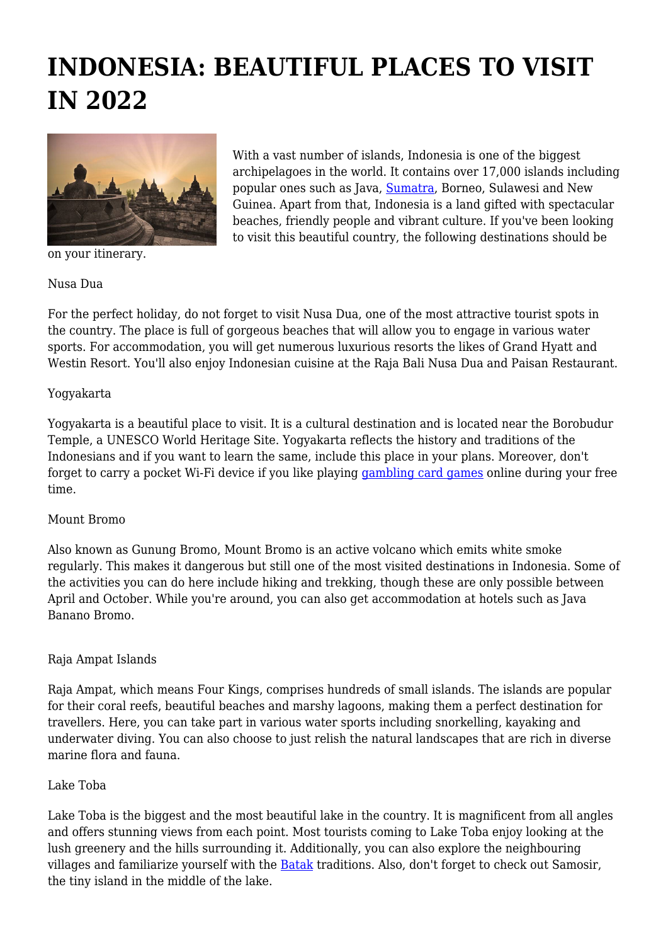# **INDONESIA: BEAUTIFUL PLACES TO VISIT IN 2022**



on your itinerary.

With a vast number of islands, Indonesia is one of the biggest archipelagoes in the world. It contains over 17,000 islands including popular ones such as Java, [Sumatra](https://www.britannica.com/place/Sumatra), Borneo, Sulawesi and New Guinea. Apart from that, Indonesia is a land gifted with spectacular beaches, friendly people and vibrant culture. If you've been looking to visit this beautiful country, the following destinations should be

### Nusa Dua

For the perfect holiday, do not forget to visit Nusa Dua, one of the most attractive tourist spots in the country. The place is full of gorgeous beaches that will allow you to engage in various water sports. For accommodation, you will get numerous luxurious resorts the likes of Grand Hyatt and Westin Resort. You'll also enjoy Indonesian cuisine at the Raja Bali Nusa Dua and Paisan Restaurant.

### Yogyakarta

Yogyakarta is a beautiful place to visit. It is a cultural destination and is located near the Borobudur Temple, a UNESCO World Heritage Site. Yogyakarta reflects the history and traditions of the Indonesians and if you want to learn the same, include this place in your plans. Moreover, don't forget to carry a pocket Wi-Fi device if you like playing [gambling card games](https://www.platincasino.co.uk/card-games/gambling) online during your free time.

### Mount Bromo

Also known as Gunung Bromo, Mount Bromo is an active volcano which emits white smoke regularly. This makes it dangerous but still one of the most visited destinations in Indonesia. Some of the activities you can do here include hiking and trekking, though these are only possible between April and October. While you're around, you can also get accommodation at hotels such as Java Banano Bromo.

### Raja Ampat Islands

Raja Ampat, which means Four Kings, comprises hundreds of small islands. The islands are popular for their coral reefs, beautiful beaches and marshy lagoons, making them a perfect destination for travellers. Here, you can take part in various water sports including snorkelling, kayaking and underwater diving. You can also choose to just relish the natural landscapes that are rich in diverse marine flora and fauna.

### Lake Toba

Lake Toba is the biggest and the most beautiful lake in the country. It is magnificent from all angles and offers stunning views from each point. Most tourists coming to Lake Toba enjoy looking at the lush greenery and the hills surrounding it. Additionally, you can also explore the neighbouring villages and familiarize yourself with the [Batak](https://en.wikipedia.org/wiki/Batak) traditions. Also, don't forget to check out Samosir, the tiny island in the middle of the lake.